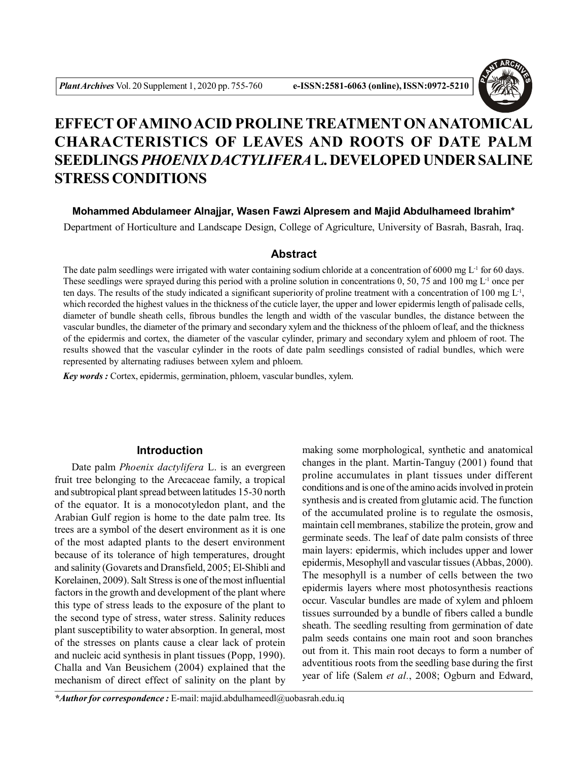

# **EFFECT OFAMINO ACID PROLINE TREATMENT ON ANATOMICAL CHARACTERISTICS OF LEAVES AND ROOTS OF DATE PALM SEEDLINGS** *PHOENIX DACTYLIFERA* **L. DEVELOPED UNDER SALINE STRESS CONDITIONS**

**Mohammed Abdulameer Alnajjar, Wasen Fawzi Alpresem and Majid Abdulhameed Ibrahim\***

Department of Horticulture and Landscape Design, College of Agriculture, University of Basrah, Basrah, Iraq.

### **Abstract**

The date palm seedlings were irrigated with water containing sodium chloride at a concentration of 6000 mg  $L<sup>1</sup>$  for 60 days. These seedlings were sprayed during this period with a proline solution in concentrations  $0, 50, 75$  and  $100 \text{ mg } L^{-1}$  once per ten days. The results of the study indicated a significant superiority of proline treatment with a concentration of 100 mg  $L<sup>1</sup>$ , which recorded the highest values in the thickness of the cuticle layer, the upper and lower epidermis length of palisade cells, diameter of bundle sheath cells, fibrous bundles the length and width of the vascular bundles, the distance between the vascular bundles, the diameter of the primary and secondary xylem and the thickness of the phloem of leaf, and the thickness of the epidermis and cortex, the diameter of the vascular cylinder, primary and secondary xylem and phloem of root. The results showed that the vascular cylinder in the roots of date palm seedlings consisted of radial bundles, which were represented by alternating radiuses between xylem and phloem.

*Key words :* Cortex, epidermis, germination, phloem, vascular bundles, xylem.

### **Introduction**

Date palm *Phoenix dactylifera* L. is an evergreen fruit tree belonging to the Arecaceae family, a tropical and subtropical plant spread between latitudes 15-30 north of the equator. It is a monocotyledon plant, and the Arabian Gulf region is home to the date palm tree. Its trees are a symbol of the desert environment as it is one of the most adapted plants to the desert environment because of its tolerance of high temperatures, drought and salinity (Govarets and Dransfield, 2005; El-Shibli and Korelainen, 2009). Salt Stress is one of the most influential factors in the growth and development of the plant where this type of stress leads to the exposure of the plant to the second type of stress, water stress. Salinity reduces plant susceptibility to water absorption. In general, most of the stresses on plants cause a clear lack of protein and nucleic acid synthesis in plant tissues (Popp, 1990). Challa and Van Beusichem (2004) explained that the mechanism of direct effect of salinity on the plant by making some morphological, synthetic and anatomical changes in the plant. Martin-Tanguy (2001) found that proline accumulates in plant tissues under different conditions and is one of the amino acids involved in protein synthesis and is created from glutamic acid. The function of the accumulated proline is to regulate the osmosis, maintain cell membranes, stabilize the protein, grow and germinate seeds. The leaf of date palm consists of three main layers: epidermis, which includes upper and lower epidermis, Mesophyll and vascular tissues (Abbas, 2000). The mesophyll is a number of cells between the two epidermis layers where most photosynthesis reactions occur. Vascular bundles are made of xylem and phloem tissues surrounded by a bundle of fibers called a bundle sheath. The seedling resulting from germination of date palm seeds contains one main root and soon branches out from it. This main root decays to form a number of adventitious roots from the seedling base during the first year of life (Salem *et al.*, 2008; Ogburn and Edward,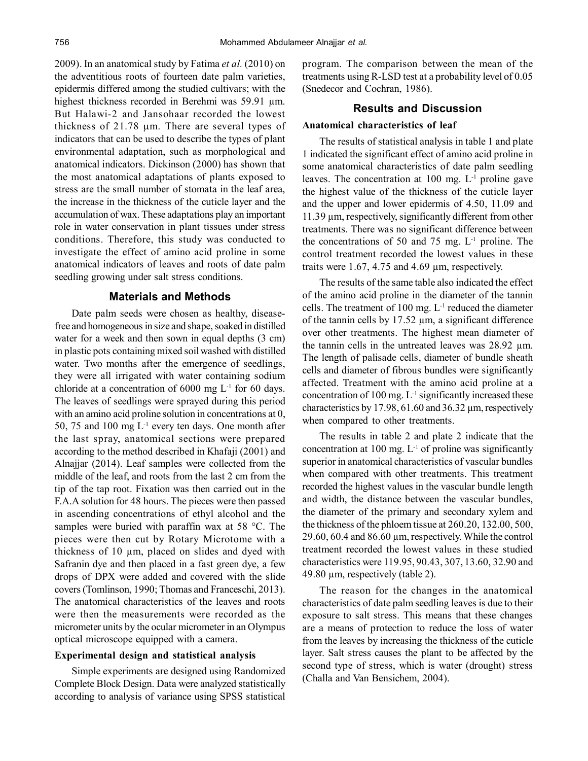2009). In an anatomical study by Fatima *et al.* (2010) on the adventitious roots of fourteen date palm varieties, epidermis differed among the studied cultivars; with the highest thickness recorded in Berehmi was 59.91 µm. But Halawi-2 and Jansohaar recorded the lowest thickness of  $21.78$  µm. There are several types of indicators that can be used to describe the types of plant environmental adaptation, such as morphological and anatomical indicators. Dickinson (2000) has shown that the most anatomical adaptations of plants exposed to stress are the small number of stomata in the leaf area, the increase in the thickness of the cuticle layer and the accumulation of wax. These adaptations play an important role in water conservation in plant tissues under stress conditions. Therefore, this study was conducted to investigate the effect of amino acid proline in some anatomical indicators of leaves and roots of date palm seedling growing under salt stress conditions.

#### **Materials and Methods**

Date palm seeds were chosen as healthy, diseasefree and homogeneous in size and shape, soaked in distilled water for a week and then sown in equal depths (3 cm) in plastic pots containing mixed soil washed with distilled water. Two months after the emergence of seedlings, they were all irrigated with water containing sodium chloride at a concentration of  $6000 \text{ mg } L^{-1}$  for  $60 \text{ days}$ . The leaves of seedlings were sprayed during this period with an amino acid proline solution in concentrations at 0, 50, 75 and 100 mg  $L^{-1}$  every ten days. One month after the last spray, anatomical sections were prepared according to the method described in Khafaji (2001) and Alnajjar (2014). Leaf samples were collected from the middle of the leaf, and roots from the last 2 cm from the tip of the tap root. Fixation was then carried out in the F.A.A solution for 48 hours. The pieces were then passed in ascending concentrations of ethyl alcohol and the samples were buried with paraffin wax at 58 °C. The pieces were then cut by Rotary Microtome with a thickness of 10 µm, placed on slides and dyed with Safranin dye and then placed in a fast green dye, a few drops of DPX were added and covered with the slide covers (Tomlinson, 1990; Thomas and Franceschi, 2013). The anatomical characteristics of the leaves and roots were then the measurements were recorded as the micrometer units by the ocular micrometer in an Olympus optical microscope equipped with a camera.

#### **Experimental design and statistical analysis**

Simple experiments are designed using Randomized Complete Block Design. Data were analyzed statistically according to analysis of variance using SPSS statistical program. The comparison between the mean of the treatments using R-LSD test at a probability level of 0.05 (Snedecor and Cochran, 1986).

#### **Results and Discussion**

#### **Anatomical characteristics of leaf**

The results of statistical analysis in table 1 and plate 1 indicated the significant effect of amino acid proline in some anatomical characteristics of date palm seedling leaves. The concentration at 100 mg. L-1 proline gave the highest value of the thickness of the cuticle layer and the upper and lower epidermis of 4.50, 11.09 and 11.39 µm, respectively, significantly different from other treatments. There was no significant difference between the concentrations of 50 and 75 mg.  $L^{-1}$  proline. The control treatment recorded the lowest values in these traits were 1.67, 4.75 and 4.69 µm, respectively.

The results of the same table also indicated the effect of the amino acid proline in the diameter of the tannin cells. The treatment of 100 mg.  $L^{-1}$  reduced the diameter of the tannin cells by  $17.52 \mu m$ , a significant difference over other treatments. The highest mean diameter of the tannin cells in the untreated leaves was 28.92 µm. The length of palisade cells, diameter of bundle sheath cells and diameter of fibrous bundles were significantly affected. Treatment with the amino acid proline at a concentration of 100 mg.  $L^{-1}$  significantly increased these characteristics by 17.98, 61.60 and 36.32 µm, respectively when compared to other treatments.

The results in table 2 and plate 2 indicate that the concentration at 100 mg.  $L^{-1}$  of proline was significantly superior in anatomical characteristics of vascular bundles when compared with other treatments. This treatment recorded the highest values in the vascular bundle length and width, the distance between the vascular bundles, the diameter of the primary and secondary xylem and the thickness of the phloem tissue at 260.20, 132.00, 500, 29.60, 60.4 and 86.60 µm, respectively. While the control treatment recorded the lowest values in these studied characteristics were 119.95, 90.43, 307, 13.60, 32.90 and 49.80 µm, respectively (table 2).

The reason for the changes in the anatomical characteristics of date palm seedling leaves is due to their exposure to salt stress. This means that these changes are a means of protection to reduce the loss of water from the leaves by increasing the thickness of the cuticle layer. Salt stress causes the plant to be affected by the second type of stress, which is water (drought) stress (Challa and Van Bensichem, 2004).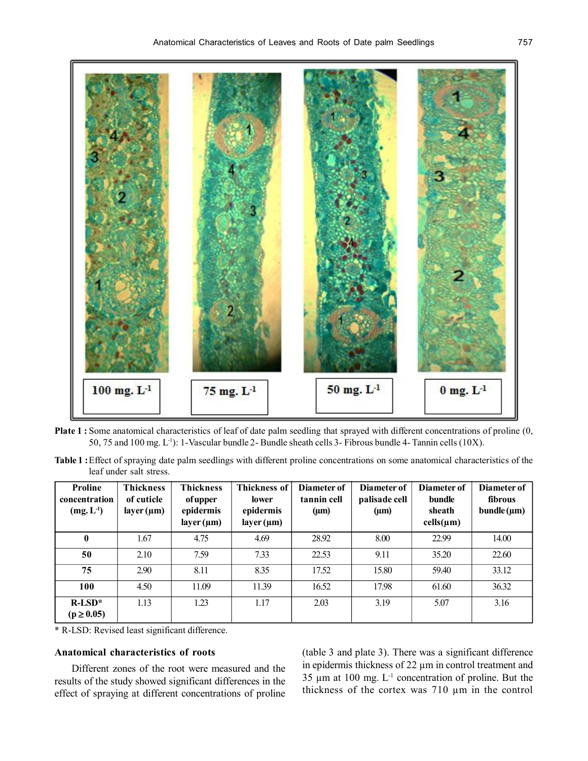

**Plate 1 :** Some anatomical characteristics of leaf of date palm seedling that sprayed with different concentrations of proline (0, 50, 75 and 100 mg.  $L^{-1}$ ): 1-Vascular bundle 2- Bundle sheath cells 3- Fibrous bundle 4- Tannin cells (10X).

**Table 1 :**Effect of spraying date palm seedlings with different proline concentrations on some anatomical characteristics of the leaf under salt stress.

| <b>Proline</b><br>concentration<br>$(mg, L^{-1})$ | <b>Thickness</b><br>of cuticle<br>layer $(\mu m)$ | <b>Thickness</b><br><i>of upper</i><br>epidermis<br>$layer(\mu m)$ | <b>Thickness of</b><br>lower<br>epidermis<br>$layer(\mu m)$ | Diameter of<br>tannin cell<br>$(\mu m)$ | Diameter of<br>palisade cell<br>$(\mu m)$ | Diameter of<br>bundle<br>sheath<br>$cells(\mu m)$ | Diameter of<br>fibrous<br>$b$ undle ( $\mu$ m) |
|---------------------------------------------------|---------------------------------------------------|--------------------------------------------------------------------|-------------------------------------------------------------|-----------------------------------------|-------------------------------------------|---------------------------------------------------|------------------------------------------------|
| $\mathbf{0}$                                      | 1.67                                              | 4.75                                                               | 4.69                                                        | 28.92                                   | 8.00                                      | 22.99                                             | 14.00                                          |
| 50                                                | 2.10                                              | 7.59                                                               | 7.33                                                        | 22.53                                   | 9.11                                      | 35.20                                             | 22.60                                          |
| 75                                                | 2.90                                              | 8.11                                                               | 8.35                                                        | 17.52                                   | 15.80                                     | 59.40                                             | 33.12                                          |
| 100                                               | 4.50                                              | 11.09                                                              | 11.39                                                       | 16.52                                   | 17.98                                     | 61.60                                             | 36.32                                          |
| $R$ -LSD <sup>*</sup><br>$(p \ge 0.05)$           | 1.13                                              | 1.23                                                               | 1.17                                                        | 2.03                                    | 3.19                                      | 5.07                                              | 3.16                                           |

\* R-LSD: Revised least significant difference.

## **Anatomical characteristics of roots**

Different zones of the root were measured and the results of the study showed significant differences in the effect of spraying at different concentrations of proline (table 3 and plate 3). There was a significant difference in epidermis thickness of 22 µm in control treatment and 35  $\mu$ m at 100 mg. L<sup>-1</sup> concentration of proline. But the thickness of the cortex was 710 µm in the control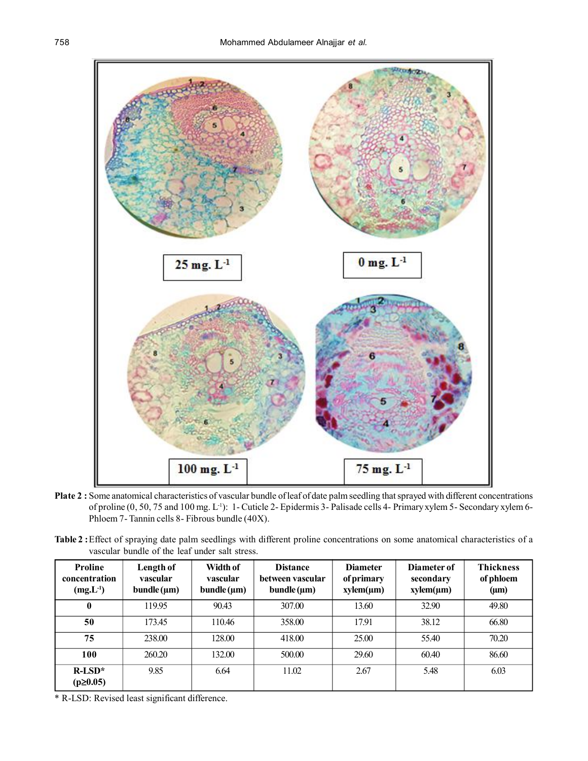

**Plate 2 :** Some anatomical characteristics of vascular bundle of leaf of date palm seedling that sprayed with different concentrations of proline (0, 50, 75 and 100 mg. L<sup>-1</sup>): 1- Cuticle 2- Epidermis 3- Palisade cells 4- Primary xylem 5- Secondary xylem 6-Phloem 7- Tannin cells 8- Fibrous bundle (40X).

| Table 2: Effect of spraying date palm seedlings with different proline concentrations on some anatomical characteristics of a |  |  |  |
|-------------------------------------------------------------------------------------------------------------------------------|--|--|--|
| vascular bundle of the leaf under salt stress.                                                                                |  |  |  |

| <b>Proline</b><br>concentration<br>$(mg.L^{-1})$ | Length of<br>vascular<br>$b$ undle ( $\mu$ m) | Width of<br>vascular<br>$b$ undle $(\mu m)$ | <b>Distance</b><br>between vascular<br>$b$ undle ( $\mu$ m) | <b>Diameter</b><br>of primary<br>$xylem(\mu m)$ | Diameter of<br>secondary<br>$xylem(\mu m)$ | <b>Thickness</b><br>of phloem<br>$(\mu m)$ |
|--------------------------------------------------|-----------------------------------------------|---------------------------------------------|-------------------------------------------------------------|-------------------------------------------------|--------------------------------------------|--------------------------------------------|
|                                                  | 119.95                                        | 90.43                                       | 307.00                                                      | 13.60                                           | 32.90                                      | 49.80                                      |
| 50                                               | 173.45                                        | 110.46                                      | 358.00                                                      | 17.91                                           | 38.12                                      | 66.80                                      |
| 75                                               | 238.00                                        | 128.00                                      | 418.00                                                      | 25.00                                           | 55.40                                      | 70.20                                      |
| 100                                              | 260.20                                        | 132.00                                      | 500.00                                                      | 29.60                                           | 60.40                                      | 86.60                                      |
| $R-LSD*$<br>$(p \ge 0.05)$                       | 9.85                                          | 6.64                                        | 11.02                                                       | 2.67                                            | 5.48                                       | 6.03                                       |

\* R-LSD: Revised least significant difference.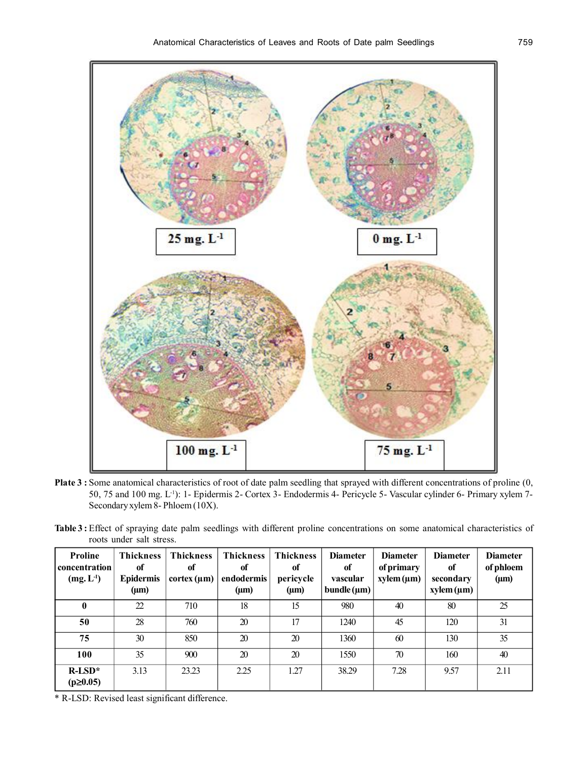

- **Plate 3 :** Some anatomical characteristics of root of date palm seedling that sprayed with different concentrations of proline (0, 50, 75 and 100 mg. L-1): 1- Epidermis 2- Cortex 3- Endodermis 4- Pericycle 5- Vascular cylinder 6- Primary xylem 7- Secondary xylem 8- Phloem (10X).
- **Table 3 :** Effect of spraying date palm seedlings with different proline concentrations on some anatomical characteristics of roots under salt stress.

| <b>Proline</b><br>concentration<br>$(mg, L-1)$ | Thickness<br>of<br><b>Epidermis</b><br>$(\mu m)$ | <b>Thickness</b><br>of<br>cortex (µm) | Thickness<br>of<br>endodermis<br>$(\mu m)$ | Thickness<br>of<br>pericycle<br>$(\mu m)$ | <b>Diameter</b><br>of<br>vascular<br>bundle $(\mu m)$ | <b>Diameter</b><br>of primary<br>$xylem(\mu m)$ | <b>Diameter</b><br>of<br>secondary<br>$xylem(\mu m)$ | <b>Diameter</b><br>of phloem<br>$(\mu m)$ |
|------------------------------------------------|--------------------------------------------------|---------------------------------------|--------------------------------------------|-------------------------------------------|-------------------------------------------------------|-------------------------------------------------|------------------------------------------------------|-------------------------------------------|
| 0                                              | 22                                               | 710                                   | 18                                         | 15                                        | 980                                                   | 40                                              | 80                                                   | 25                                        |
| 50                                             | 28                                               | 760                                   | 20                                         | 17                                        | 1240                                                  | 45                                              | 120                                                  | 31                                        |
| 75                                             | 30                                               | 850                                   | 20                                         | 20                                        | 1360                                                  | 60                                              | 130                                                  | 35                                        |
| 100                                            | 35                                               | 900                                   | 20                                         | 20                                        | 1550                                                  | 70                                              | 160                                                  | 40                                        |
| $R-LSD*$<br>$(p \ge 0.05)$                     | 3.13                                             | 23.23                                 | 2.25                                       | 1.27                                      | 38.29                                                 | 7.28                                            | 9.57                                                 | 2.11                                      |

\* R-LSD: Revised least significant difference.